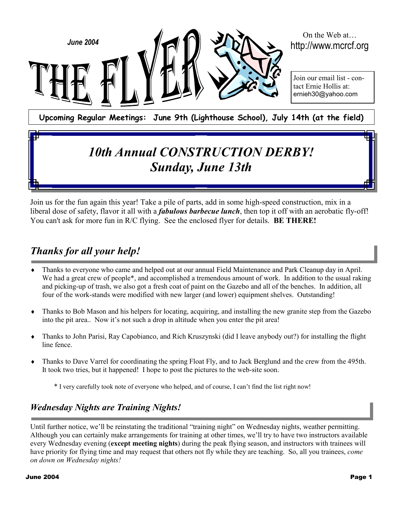

### Join us for the fun again this year! Take a pile of parts, add in some high-speed construction, mix in a liberal dose of safety, flavor it all with a *fabulous barbecue lunch*, then top it off with an aerobatic fly-off! You can't ask for more fun in R/C flying. See the enclosed flyer for details. **BE THERE!**

*Sunday, June 13th*

## *Thanks for all your help!*

- Thanks to everyone who came and helped out at our annual Field Maintenance and Park Cleanup day in April. We had a great crew of people<sup>\*</sup>, and accomplished a tremendous amount of work. In addition to the usual raking and picking-up of trash, we also got a fresh coat of paint on the Gazebo and all of the benches. In addition, all four of the work-stands were modified with new larger (and lower) equipment shelves. Outstanding!
- ♦ Thanks to Bob Mason and his helpers for locating, acquiring, and installing the new granite step from the Gazebo into the pit area.. Now it's not such a drop in altitude when you enter the pit area!
- ♦ Thanks to John Parisi, Ray Capobianco, and Rich Kruszynski (did I leave anybody out?) for installing the flight line fence.
- ♦ Thanks to Dave Varrel for coordinating the spring Float Fly, and to Jack Berglund and the crew from the 495th. It took two tries, but it happened! I hope to post the pictures to the web-site soon.

\* I very carefully took note of everyone who helped, and of course, I can't find the list right now!

## *Wednesday Nights are Training Nights!*

Until further notice, we'll be reinstating the traditional "training night" on Wednesday nights, weather permitting. Although you can certainly make arrangements for training at other times, we'll try to have two instructors available every Wednesday evening (**except meeting nights**) during the peak flying season, and instructors with trainees will have priority for flying time and may request that others not fly while they are teaching. So, all you trainees, *come on down on Wednesday nights!*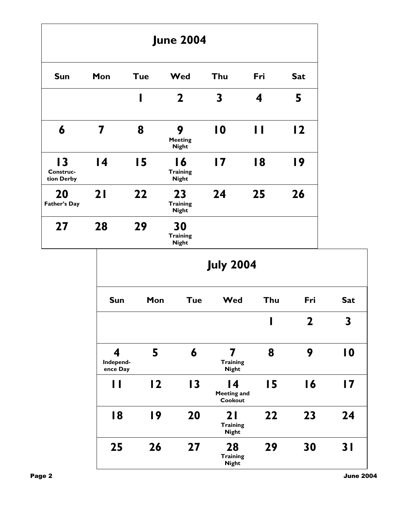|                                            |                                                |            | <b>June 2004</b>                      |                 |              |                |  |
|--------------------------------------------|------------------------------------------------|------------|---------------------------------------|-----------------|--------------|----------------|--|
| <b>Sun</b>                                 | Mon                                            | <b>Tue</b> | Wed                                   | Thu             | Fri          | <b>Sat</b>     |  |
|                                            |                                                | ı          | $\mathbf 2$                           | $\mathbf{3}$    | 4            | 5              |  |
| 6                                          | $\overline{\mathbf{7}}$                        | 8          | 9<br><b>Meeting</b><br><b>Night</b>   | $\overline{10}$ | $\mathbf{I}$ | $\overline{2}$ |  |
| $\overline{13}$<br>Construc-<br>tion Derby | $\overline{14}$                                | 15         | 16<br><b>Training</b><br><b>Night</b> | $\overline{17}$ | 18           | 19             |  |
| 20<br><b>Father's Day</b>                  | 21                                             | 22         | 23<br><b>Training</b><br><b>Night</b> | 24              | 25           | 26             |  |
| 27                                         | 28                                             | 29         | 30<br><b>Training</b><br><b>Night</b> |                 |              |                |  |
|                                            | <b>July 2004</b>                               |            |                                       |                 |              |                |  |
|                                            | Sun                                            | Mon        | <b>Tue</b>                            | Wed             | Thu          | Fri            |  |
|                                            |                                                |            |                                       |                 | I            | $\mathbf{2}$   |  |
|                                            | $\overline{\mathbf{4}}$<br>والمتعارف والمستعار | 5          | 6                                     | 7<br>$T = 100$  | 8            | 9              |  |

| ₩<br>Independ-<br>ence Day | Э              | О               | <b>Training</b><br><b>Night</b>       | О  |    | I V |
|----------------------------|----------------|-----------------|---------------------------------------|----|----|-----|
| Н                          | $\overline{2}$ | $\overline{13}$ | 14<br><b>Meeting and</b><br>Cookout   | 15 | 16 | 17  |
| 18                         | 19             | 20              | 21<br><b>Training</b><br><b>Night</b> | 22 | 23 | 24  |
| 25                         | 26             | 27              | 28<br><b>Training</b><br><b>Night</b> | 29 | 30 | 31  |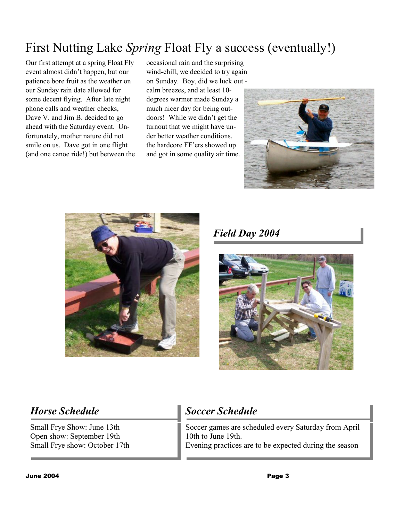# First Nutting Lake *Spring* Float Fly a success (eventually!)

Our first attempt at a spring Float Fly event almost didn't happen, but our patience bore fruit as the weather on our Sunday rain date allowed for some decent flying. After late night phone calls and weather checks, Dave V. and Jim B. decided to go ahead with the Saturday event. Unfortunately, mother nature did not smile on us. Dave got in one flight (and one canoe ride!) but between the occasional rain and the surprising wind-chill, we decided to try again on Sunday. Boy, did we luck out calm breezes, and at least 10 degrees warmer made Sunday a much nicer day for being outdoors! While we didn't get the turnout that we might have under better weather conditions, the hardcore FF'ers showed up and got in some quality air time.





*Field Day 2004* 



Small Frye Show: June 13th Open show: September 19th Small Frye show: October 17th

## **Horse Schedule Soccer Schedule**

Soccer games are scheduled every Saturday from April 10th to June 19th. Evening practices are to be expected during the season